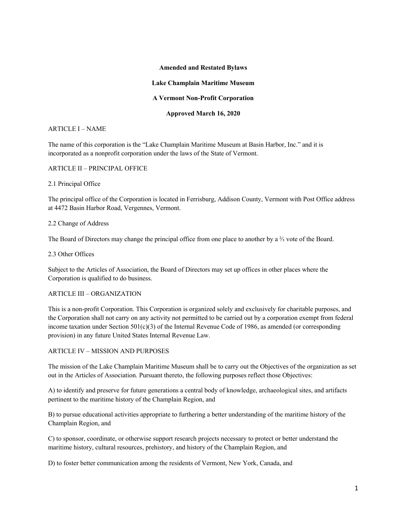#### **Amended and Restated Bylaws**

#### **Lake Champlain Maritime Museum**

#### **A Vermont Non-Profit Corporation**

#### **Approved March 16, 2020**

#### ARTICLE I – NAME

The name of this corporation is the "Lake Champlain Maritime Museum at Basin Harbor, Inc." and it is incorporated as a nonprofit corporation under the laws of the State of Vermont.

#### ARTICLE II – PRINCIPAL OFFICE

#### 2.1 Principal Office

The principal office of the Corporation is located in Ferrisburg, Addison County, Vermont with Post Office address at 4472 Basin Harbor Road, Vergennes, Vermont.

#### 2.2 Change of Address

The Board of Directors may change the principal office from one place to another by a ⅔ vote of the Board.

2.3 Other Offices

Subject to the Articles of Association, the Board of Directors may set up offices in other places where the Corporation is qualified to do business.

# ARTICLE III – ORGANIZATION

This is a non-profit Corporation. This Corporation is organized solely and exclusively for charitable purposes, and the Corporation shall not carry on any activity not permitted to be carried out by a corporation exempt from federal income taxation under Section  $501(c)(3)$  of the Internal Revenue Code of 1986, as amended (or corresponding provision) in any future United States Internal Revenue Law.

# ARTICLE IV – MISSION AND PURPOSES

The mission of the Lake Champlain Maritime Museum shall be to carry out the Objectives of the organization as set out in the Articles of Association. Pursuant thereto, the following purposes reflect those Objectives:

A) to identify and preserve for future generations a central body of knowledge, archaeological sites, and artifacts pertinent to the maritime history of the Champlain Region, and

B) to pursue educational activities appropriate to furthering a better understanding of the maritime history of the Champlain Region, and

C) to sponsor, coordinate, or otherwise support research projects necessary to protect or better understand the maritime history, cultural resources, prehistory, and history of the Champlain Region, and

D) to foster better communication among the residents of Vermont, New York, Canada, and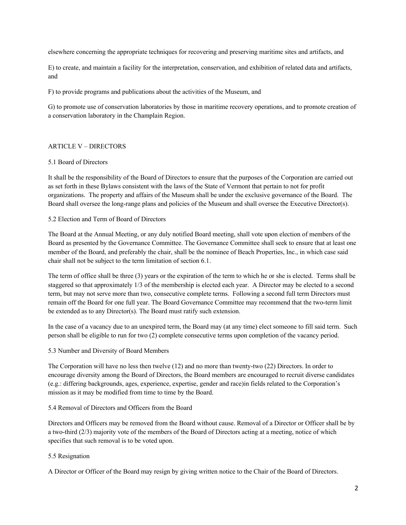elsewhere concerning the appropriate techniques for recovering and preserving maritime sites and artifacts, and

E) to create, and maintain a facility for the interpretation, conservation, and exhibition of related data and artifacts, and

F) to provide programs and publications about the activities of the Museum, and

G) to promote use of conservation laboratories by those in maritime recovery operations, and to promote creation of a conservation laboratory in the Champlain Region.

# ARTICLE V – DIRECTORS

#### 5.1 Board of Directors

It shall be the responsibility of the Board of Directors to ensure that the purposes of the Corporation are carried out as set forth in these Bylaws consistent with the laws of the State of Vermont that pertain to not for profit organizations. The property and affairs of the Museum shall be under the exclusive governance of the Board. The Board shall oversee the long-range plans and policies of the Museum and shall oversee the Executive Director(s).

#### 5.2 Election and Term of Board of Directors

The Board at the Annual Meeting, or any duly notified Board meeting, shall vote upon election of members of the Board as presented by the Governance Committee. The Governance Committee shall seek to ensure that at least one member of the Board, and preferably the chair, shall be the nominee of Beach Properties, Inc., in which case said chair shall not be subject to the term limitation of section 6.1.

The term of office shall be three (3) years or the expiration of the term to which he or she is elected. Terms shall be staggered so that approximately 1/3 of the membership is elected each year. A Director may be elected to a second term, but may not serve more than two, consecutive complete terms. Following a second full term Directors must remain off the Board for one full year. The Board Governance Committee may recommend that the two-term limit be extended as to any Director(s). The Board must ratify such extension.

In the case of a vacancy due to an unexpired term, the Board may (at any time) elect someone to fill said term. Such person shall be eligible to run for two (2) complete consecutive terms upon completion of the vacancy period.

#### 5.3 Number and Diversity of Board Members

The Corporation will have no less then twelve (12) and no more than twenty-two (22) Directors. In order to encourage diversity among the Board of Directors, the Board members are encouraged to recruit diverse candidates (e.g.: differing backgrounds, ages, experience, expertise, gender and race)in fields related to the Corporation's mission as it may be modified from time to time by the Board.

# 5.4 Removal of Directors and Officers from the Board

Directors and Officers may be removed from the Board without cause. Removal of a Director or Officer shall be by a two-third (2/3) majority vote of the members of the Board of Directors acting at a meeting, notice of which specifies that such removal is to be voted upon.

# 5.5 Resignation

A Director or Officer of the Board may resign by giving written notice to the Chair of the Board of Directors.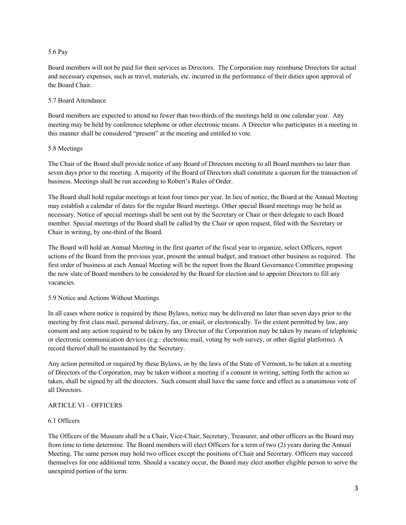#### 5.6 Pay

Board members will not be paid for their services as Directors. The Corporation may reimburse Directors for actual and necessary expenses, such as travel, materials, etc. incurred in the performance of their duties upon approval of the Board Chair.

#### 5.7 Board Attendance

Board members are expected to attend no fewer than two-thirds of the meetings held in one calendar year. Any meeting may be held by conference telephone or other electronic means. A Director who participates in a meeting in this manner shall be considered "present" at the meeting and entitled to vote.

#### 5.8 Meetings

The Chair of the Board shall provide notice of any Board of Directors meeting to all Board members no later than seven days prior to the meeting. A majority of the Board of Directors shall constitute a quorum for the transaction of business. Meetings shall be run according to Robert's Rules of Order.

The Board shall hold regular meetings at least four times per year. In lieu of notice, the Board at the Annual Meeting may establish a calendar of dates for the regular Board meetings. Other special Board meetings may be held as necessary. Notice of special meetings shall be sent out by the Secretary or Chair or their delegate to each Board member. Special meetings of the Board shall be called by the Chair or upon request, filed with the Secretary or Chair in writing, by one-third of the Board.

The Board will hold an Annual Meeting in the first quarter of the fiscal year to organize, select Officers, report actions of the Board from the previous year, present the annual budget, and transact other business as required. The first order of business at each Annual Meeting will be the report from the Board Governance Committee proposing the new slate of Board members to be considered by the Board for election and to appoint Directors to fill any vacancies.

# 5.9 Notice and Actions Without Meetings

In all cases where notice is required by these Bylaws, notice may be delivered no later than seven days prior to the meeting by first class mail, personal delivery, fax, or email, or electronically. To the extent permitted by law, any consent and any action required to be taken by any Director of the Corporation may be taken by means of telephonic or electronic communication devices (e.g.: electronic mail, voting by web survey, or other digital platforms). A record thereof shall be maintained by the Secretary.

Any action permitted or required by these Bylaws, or by the laws of the State of Vermont, to be taken at a meeting of Directors of the Corporation, may be taken without a meeting if a consent in writing, setting forth the action so taken, shall be signed by all the directors. Such consent shall have the same force and effect as a unanimous vote of all Directors.

# ARTICLE VI – OFFICERS

# 6.1 Officers

The Officers of the Museum shall be a Chair, Vice-Chair, Secretary, Treasurer, and other officers as the Board may from time to time determine. The Board members will elect Officers for a term of two (2) years during the Annual Meeting. The same person may hold two offices except the positions of Chair and Secretary. Officers may succeed themselves for one additional term. Should a vacancy occur, the Board may elect another eligible person to serve the unexpired portion of the term.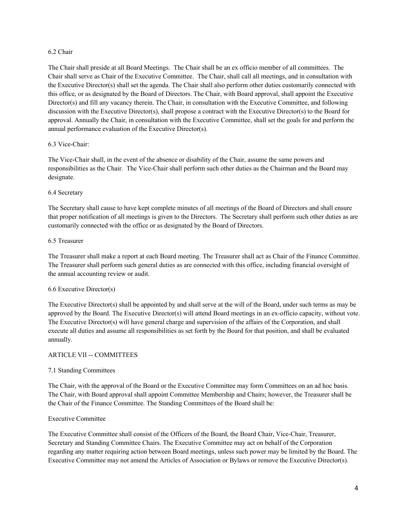#### 6.2 Chair

The Chair shall preside at all Board Meetings. The Chair shall be an ex officio member of all committees. The Chair shall serve as Chair of the Executive Committee. The Chair, shall call all meetings, and in consultation with the Executive Director(s) shall set the agenda. The Chair shall also perform other duties customarily connected with this office, or as designated by the Board of Directors. The Chair, with Board approval, shall appoint the Executive Director(s) and fill any vacancy therein. The Chair, in consultation with the Executive Committee, and following discussion with the Executive Director(s), shall propose a contract with the Executive Director(s) to the Board for approval. Annually the Chair, in consultation with the Executive Committee, shall set the goals for and perform the annual performance evaluation of the Executive Director(s).

# 6.3 Vice-Chair:

The Vice-Chair shall, in the event of the absence or disability of the Chair, assume the same powers and responsibilities as the Chair. The Vice-Chair shall perform such other duties as the Chairman and the Board may designate.

# 6.4 Secretary

The Secretary shall cause to have kept complete minutes of all meetings of the Board of Directors and shall ensure that proper notification of all meetings is given to the Directors. The Secretary shall perform such other duties as are customarily connected with the office or as designated by the Board of Directors.

# 6.5 Treasurer

The Treasurer shall make a report at each Board meeting. The Treasurer shall act as Chair of the Finance Committee. The Treasurer shall perform such general duties as are connected with this office, including financial oversight of the annual accounting review or audit.

# 6.6 Executive Director(s)

The Executive Director(s) shall be appointed by and shall serve at the will of the Board, under such terms as may be approved by the Board. The Executive Director(s) will attend Board meetings in an ex-officio capacity, without vote. The Executive Director(s) will have general charge and supervision of the affairs of the Corporation, and shall execute all duties and assume all responsibilities as set forth by the Board for that position, and shall be evaluated annually.

# ARTICLE VII -- COMMITTEES

# 7.1 Standing Committees

The Chair, with the approval of the Board or the Executive Committee may form Committees on an ad hoc basis. The Chair, with Board approval shall appoint Committee Membership and Chairs; however, the Treasurer shall be the Chair of the Finance Committee. The Standing Committees of the Board shall be:

# Executive Committee

The Executive Committee shall consist of the Officers of the Board, the Board Chair, Vice-Chair, Treasurer, Secretary and Standing Committee Chairs. The Executive Committee may act on behalf of the Corporation regarding any matter requiring action between Board meetings, unless such power may be limited by the Board. The Executive Committee may not amend the Articles of Association or Bylaws or remove the Executive Director(s).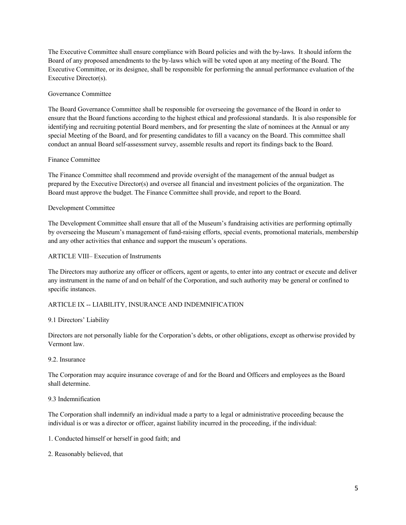The Executive Committee shall ensure compliance with Board policies and with the by-laws. It should inform the Board of any proposed amendments to the by-laws which will be voted upon at any meeting of the Board. The Executive Committee, or its designee, shall be responsible for performing the annual performance evaluation of the Executive Director(s).

# Governance Committee

The Board Governance Committee shall be responsible for overseeing the governance of the Board in order to ensure that the Board functions according to the highest ethical and professional standards. It is also responsible for identifying and recruiting potential Board members, and for presenting the slate of nominees at the Annual or any special Meeting of the Board, and for presenting candidates to fill a vacancy on the Board. This committee shall conduct an annual Board self-assessment survey, assemble results and report its findings back to the Board.

#### Finance Committee

The Finance Committee shall recommend and provide oversight of the management of the annual budget as prepared by the Executive Director(s) and oversee all financial and investment policies of the organization. The Board must approve the budget. The Finance Committee shall provide, and report to the Board.

#### Development Committee

The Development Committee shall ensure that all of the Museum's fundraising activities are performing optimally by overseeing the Museum's management of fund-raising efforts, special events, promotional materials, membership and any other activities that enhance and support the museum's operations.

#### ARTICLE VIII– Execution of Instruments

The Directors may authorize any officer or officers, agent or agents, to enter into any contract or execute and deliver any instrument in the name of and on behalf of the Corporation, and such authority may be general or confined to specific instances.

# ARTICLE IX -- LIABILITY, INSURANCE AND INDEMNIFICATION

#### 9.1 Directors' Liability

Directors are not personally liable for the Corporation's debts, or other obligations, except as otherwise provided by Vermont law.

#### 9.2. Insurance

The Corporation may acquire insurance coverage of and for the Board and Officers and employees as the Board shall determine.

# 9.3 Indemnification

The Corporation shall indemnify an individual made a party to a legal or administrative proceeding because the individual is or was a director or officer, against liability incurred in the proceeding, if the individual:

1. Conducted himself or herself in good faith; and

2. Reasonably believed, that